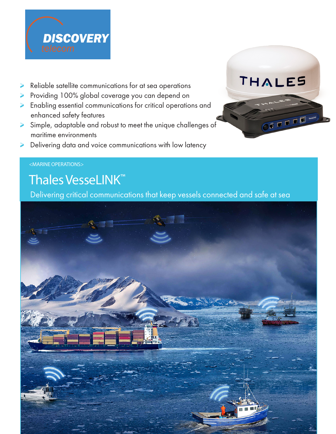

- Reliable satellite communications for at sea operations
- Providing 100% global coverage you can depend on
- Enabling essential communications for critical operations and enhanced safety features
- Simple, adaptable and robust to meet the unique challenges of maritime environments
- Delivering data and voice communications with low latency



#### <MARINE OPERATIONS>

# Thales VesseLINK™

Delivering critical communications that keep vessels connected and safe at sea